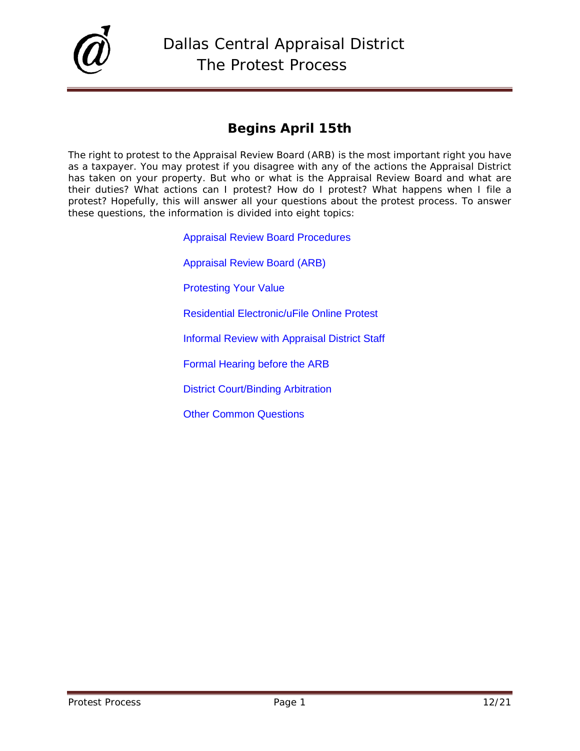

# **Begins April 15th**

The right to protest to the Appraisal Review Board (ARB) is the most important right you have as a taxpayer. You may protest if you disagree with any of the actions the Appraisal District has taken on your property. But who or what is the Appraisal Review Board and what are their duties? What actions can I protest? How do I protest? What happens when I file a protest? Hopefully, this will answer all your questions about the protest process. To answer these questions, the information is divided into eight topics:

> [Appraisal Review Board Procedures](http://www.dallascad.org/Forms/ARB_Procedures.pdf) [Appraisal Review Board \(ARB\)](#page-1-0) [Protesting Your Value](#page-1-1) [Residential Electronic/uFile Online Protest](#page-5-0) [Informal Review with Appraisal District Staff](#page-6-0) [Formal Hearing before the ARB](#page-9-0) [District Court/Binding Arbitration](#page-18-0) [Other Common Questions](#page-19-0)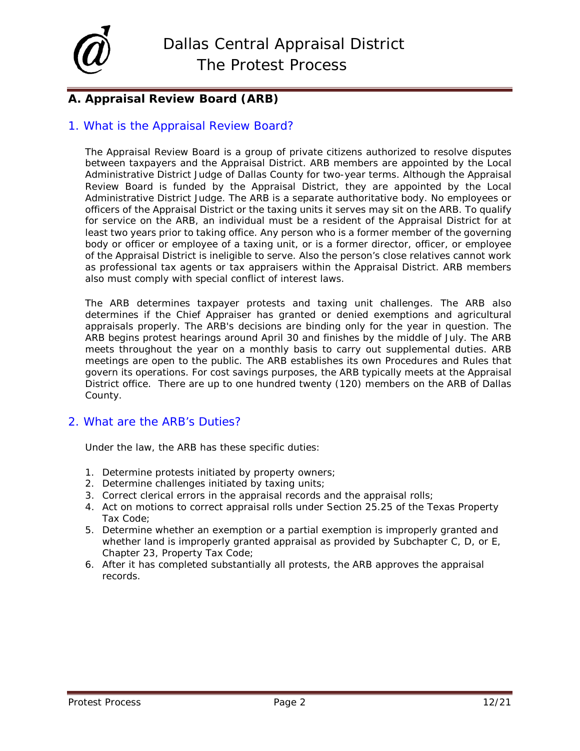

## <span id="page-1-0"></span>**A. Appraisal Review Board (ARB)**

### 1. What is the Appraisal Review Board?

The Appraisal Review Board is a group of private citizens authorized to resolve disputes between taxpayers and the Appraisal District. ARB members are appointed by the Local Administrative District Judge of Dallas County for two-year terms. Although the Appraisal Review Board is funded by the Appraisal District, they are appointed by the Local Administrative District Judge. The ARB is a separate authoritative body. No employees or officers of the Appraisal District or the taxing units it serves may sit on the ARB. To qualify for service on the ARB, an individual must be a resident of the Appraisal District for at least two years prior to taking office. Any person who is a former member of the governing body or officer or employee of a taxing unit, or is a former director, officer, or employee of the Appraisal District is ineligible to serve. Also the person's close relatives cannot work as professional tax agents or tax appraisers within the Appraisal District. ARB members also must comply with special conflict of interest laws.

The ARB determines taxpayer protests and taxing unit challenges. The ARB also determines if the Chief Appraiser has granted or denied exemptions and agricultural appraisals properly. The ARB's decisions are binding only for the year in question. The ARB begins protest hearings around April 30 and finishes by the middle of July. The ARB meets throughout the year on a monthly basis to carry out supplemental duties. ARB meetings are open to the public. The ARB establishes its own Procedures and Rules that govern its operations. For cost savings purposes, the ARB typically meets at the Appraisal District office. There are up to one hundred twenty (120) members on the ARB of Dallas County.

### 2. What are the ARB's Duties?

Under the law, the ARB has these specific duties:

- 1. Determine protests initiated by property owners;
- 2. Determine challenges initiated by taxing units;
- 3. Correct clerical errors in the appraisal records and the appraisal rolls;
- 4. Act on motions to correct appraisal rolls under Section 25.25 of the Texas Property Tax Code;
- 5. Determine whether an exemption or a partial exemption is improperly granted and whether land is improperly granted appraisal as provided by Subchapter C, D, or E, Chapter 23, Property Tax Code;
- <span id="page-1-1"></span>6. After it has completed substantially all protests, the ARB approves the appraisal records.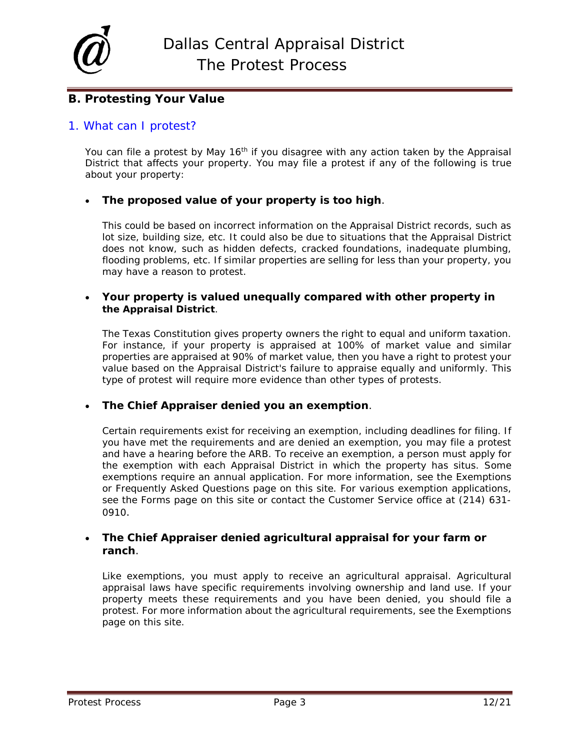

## **B. Protesting Your Value**

### 1. What can I protest?

You can file a protest by May 16<sup>th</sup> if you disagree with any action taken by the Appraisal District that affects your property. You may file a protest if any of the following is true about your property:

### • **The proposed value of your property is too high**.

This could be based on incorrect information on the Appraisal District records, such as lot size, building size, etc. It could also be due to situations that the Appraisal District does not know, such as hidden defects, cracked foundations, inadequate plumbing, flooding problems, etc. If similar properties are selling for less than your property, you may have a reason to protest.

### • **Your property is valued unequally compared with other property in the Appraisal District**.

The Texas Constitution gives property owners the right to equal and uniform taxation. For instance, if your property is appraised at 100% of market value and similar properties are appraised at 90% of market value, then you have a right to protest your value based on the Appraisal District's failure to appraise equally and uniformly. This type of protest will require more evidence than other types of protests.

### • **The Chief Appraiser denied you an exemption**.

Certain requirements exist for receiving an exemption, including deadlines for filing. If you have met the requirements and are denied an exemption, you may file a protest and have a hearing before the ARB. To receive an exemption, a person must apply for the exemption with each Appraisal District in which the property has situs. Some exemptions require an annual application. For more information, see the Exemptions or Frequently Asked Questions page on this site. For various exemption applications, see the Forms page on this site or contact the Customer Service office at (214) 631- 0910.

### • **The Chief Appraiser denied agricultural appraisal for your farm or ranch**.

Like exemptions, you must apply to receive an agricultural appraisal. Agricultural appraisal laws have specific requirements involving ownership and land use. If your property meets these requirements and you have been denied, you should file a protest. For more information about the agricultural requirements, see the Exemptions page on this site.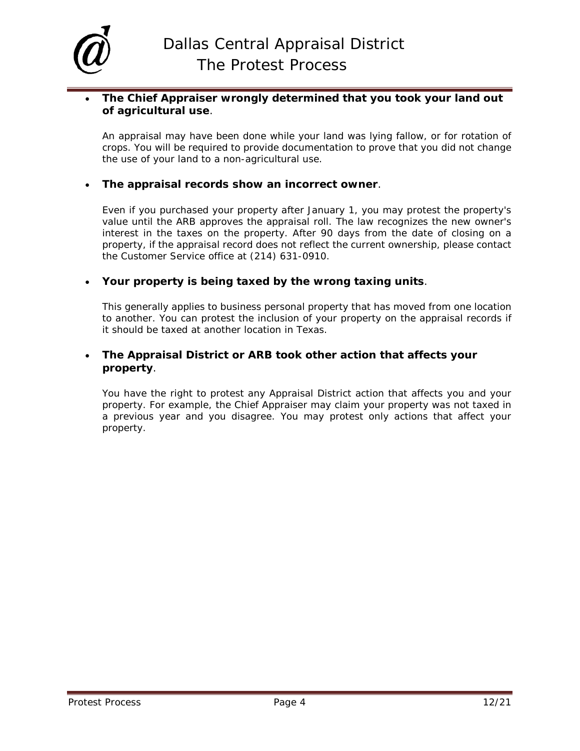

### • **The Chief Appraiser wrongly determined that you took your land out of agricultural use**.

An appraisal may have been done while your land was lying fallow, or for rotation of crops. You will be required to provide documentation to prove that you did not change the use of your land to a non-agricultural use.

### • **The appraisal records show an incorrect owner**.

Even if you purchased your property after January 1, you may protest the property's value until the ARB approves the appraisal roll. The law recognizes the new owner's interest in the taxes on the property. After 90 days from the date of closing on a property, if the appraisal record does not reflect the current ownership, please contact the Customer Service office at (214) 631-0910.

### • **Your property is being taxed by the wrong taxing units**.

This generally applies to business personal property that has moved from one location to another. You can protest the inclusion of your property on the appraisal records if it should be taxed at another location in Texas.

### • **The Appraisal District or ARB took other action that affects your property**.

You have the right to protest any Appraisal District action that affects you and your property. For example, the Chief Appraiser may claim your property was not taxed in a previous year and you disagree. You may protest only actions that affect your property.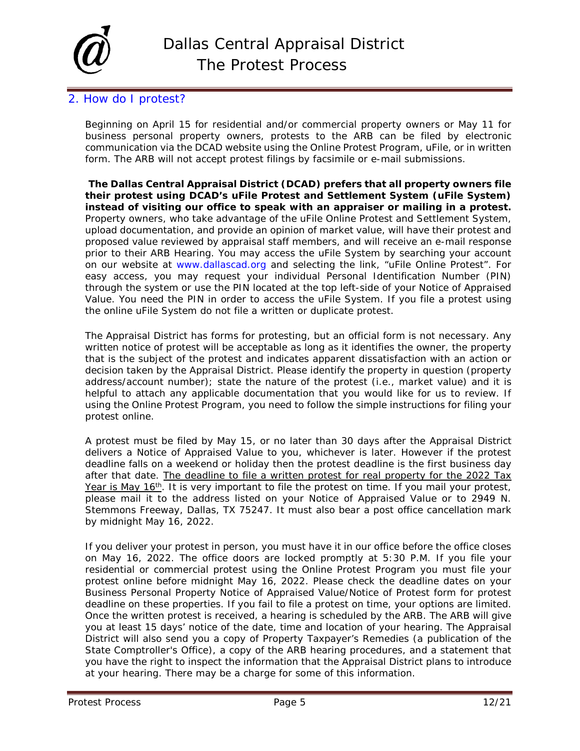

## 2. How do I protest?

Beginning on April 15 for residential and/or commercial property owners or May 11 for business personal property owners, protests to the ARB can be filed by electronic communication via the DCAD website using the Online Protest Program, uFile, or in written form. The ARB will not accept protest filings by facsimile or e-mail submissions.

**The Dallas Central Appraisal District (DCAD) prefers that all property owners file their protest using DCAD's uFile Protest and Settlement System (uFile System) instead of visiting our office to speak with an appraiser or mailing in a protest.** Property owners, who take advantage of the uFile Online Protest and Settlement System, upload documentation, and provide an opinion of market value, will have their protest and proposed value reviewed by appraisal staff members, and will receive an e-mail response prior to their ARB Hearing. You may access the uFile System by searching your account on our website at [www.dallascad.org](http://www.dallascad.org/) and selecting the link, "uFile Online Protest". For easy access, you may request your individual Personal Identification Number (PIN) through the system or use the PIN located at the top left-side of your Notice of Appraised Value. You need the PIN in order to access the uFile System. If you file a protest using the online uFile System do not file a written or duplicate protest.

The Appraisal District has forms for protesting, but an official form is not necessary. Any written notice of protest will be acceptable as long as it identifies the owner, the property that is the subject of the protest and indicates apparent dissatisfaction with an action or decision taken by the Appraisal District. Please identify the property in question (property address/account number); state the nature of the protest (i.e., market value) and it is helpful to attach any applicable documentation that you would like for us to review. If using the Online Protest Program, you need to follow the simple instructions for filing your protest online.

A protest must be filed by May 15, or no later than 30 days after the Appraisal District delivers a Notice of Appraised Value to you, whichever is later. However if the protest deadline falls on a weekend or holiday then the protest deadline is the first business day after that date. The deadline to file a written protest for real property for the 2022 Tax Year is May 16<sup>th</sup>. It is very important to file the protest on time. If you mail your protest, please mail it to the address listed on your Notice of Appraised Value or to 2949 N. Stemmons Freeway, Dallas, TX 75247. It must also bear a post office cancellation mark by midnight May 16, 2022.

If you deliver your protest in person, you must have it in our office before the office closes on May 16, 2022. The office doors are locked promptly at 5:30 P.M. If you file your residential or commercial protest using the Online Protest Program you must file your protest online before midnight May 16, 2022. Please check the deadline dates on your Business Personal Property Notice of Appraised Value/Notice of Protest form for protest deadline on these properties. If you fail to file a protest on time, your options are limited. Once the written protest is received, a hearing is scheduled by the ARB. The ARB will give you at least 15 days' notice of the date, time and location of your hearing. The Appraisal District will also send you a copy of *Property Taxpayer's Remedies* (a publication of the State Comptroller's Office), a copy of the ARB hearing procedures, and a statement that you have the right to inspect the information that the Appraisal District plans to introduce at your hearing. There may be a charge for some of this information.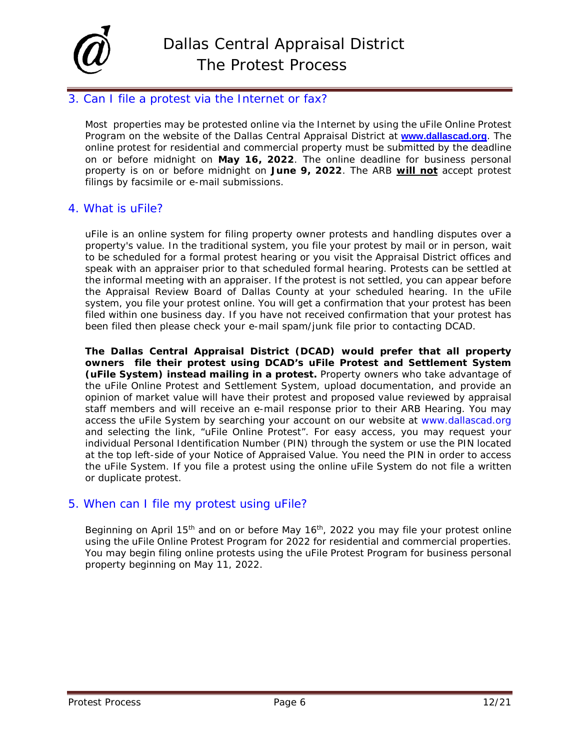

## <span id="page-5-0"></span>3. Can I file a protest via the Internet or fax?

Most properties may be protested online via the Internet by using the uFile Online Protest Program on the website of the Dallas Central Appraisal District at **[www.dallascad.org](http://www.dallascad.org/default.aspx)**. The online protest for residential and commercial property must be submitted by the deadline on or before midnight on **May 16, 2022**. The online deadline for business personal property is on or before midnight on **June 9, 2022**. The ARB **will not** accept protest filings by facsimile or e-mail submissions.

### 4. What is uFile?

uFile is an online system for filing property owner protests and handling disputes over a property's value. In the traditional system, you file your protest by mail or in person, wait to be scheduled for a formal protest hearing or you visit the Appraisal District offices and speak with an appraiser prior to that scheduled formal hearing. Protests can be settled at the informal meeting with an appraiser. If the protest is not settled, you can appear before the Appraisal Review Board of Dallas County at your scheduled hearing. In the uFile system, you file your protest online. You will get a confirmation that your protest has been filed within one business day. If you have not received confirmation that your protest has been filed then please check your e-mail spam/junk file prior to contacting DCAD.

**The Dallas Central Appraisal District (DCAD) would prefer that all property owners file their protest using DCAD's uFile Protest and Settlement System (uFile System) instead mailing in a protest.** Property owners who take advantage of the uFile Online Protest and Settlement System, upload documentation, and provide an opinion of market value will have their protest and proposed value reviewed by appraisal staff members and will receive an e-mail response prior to their ARB Hearing. You may access the uFile System by searching your account on our website at [www.dallascad.org](http://www.dallascad.org/) and selecting the link, "uFile Online Protest". For easy access, you may request your individual Personal Identification Number (PIN) through the system or use the PIN located at the top left-side of your Notice of Appraised Value. You need the PIN in order to access the uFile System. If you file a protest using the online uFile System do not file a written or duplicate protest.

### 5. When can I file my protest using uFile?

Beginning on April 15<sup>th</sup> and on or before May 16<sup>th</sup>, 2022 you may file your protest online using the uFile Online Protest Program for 2022 for residential and commercial properties. You may begin filing online protests using the uFile Protest Program for business personal property beginning on May 11, 2022.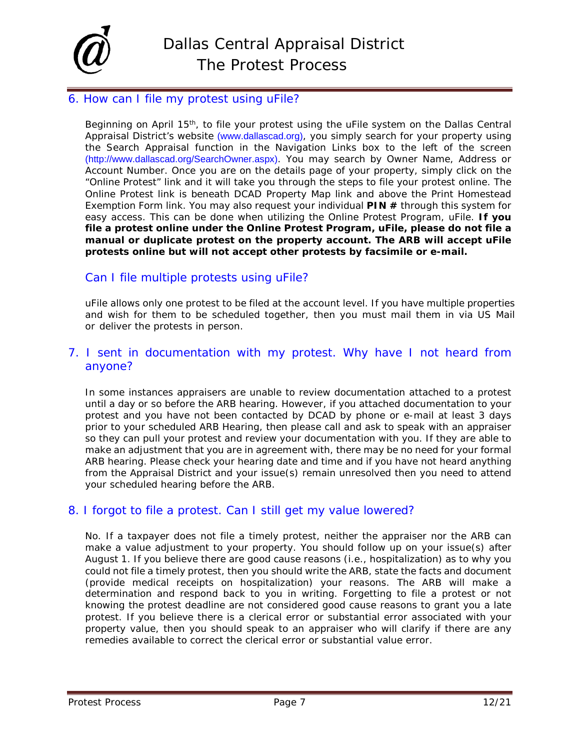

### 6. How can I file my protest using uFile?

Beginning on April 15<sup>th</sup>, to file your protest using the uFile system on the Dallas Central Appraisal District's website [\(www.dallascad.org\)](http://www.dallascad.org/), you simply search for your property using the Search Appraisal function in the Navigation Links box to the left of the screen [\(http://www.dallascad.org/SearchOwner.aspx\)](http://www.dallascad.org/SearchOwner.aspx). You may search by Owner Name, Address or Account Number. Once you are on the details page of your property, simply click on the "Online Protest" link and it will take you through the steps to file your protest online. The Online Protest link is beneath DCAD Property Map link and above the Print Homestead Exemption Form link. You may also request your individual **PIN #** through this system for easy access. This can be done when utilizing the Online Protest Program, uFile. **If you file a protest online under the Online Protest Program, uFile, please do not file a manual or duplicate protest on the property account. The ARB will accept uFile protests online but will not accept other protests by facsimile or e-mail.**

## Can I file multiple protests using uFile?

uFile allows only one protest to be filed at the account level. If you have multiple properties and wish for them to be scheduled together, then you must mail them in via US Mail or deliver the protests in person.

## 7. I sent in documentation with my protest. Why have I not heard from anyone?

In some instances appraisers are unable to review documentation attached to a protest until a day or so before the ARB hearing. However, if you attached documentation to your protest and you have not been contacted by DCAD by phone or e-mail at least 3 days prior to your scheduled ARB Hearing, then please call and ask to speak with an appraiser so they can pull your protest and review your documentation with you. If they are able to make an adjustment that you are in agreement with, there may be no need for your formal ARB hearing. Please check your hearing date and time and if you have not heard anything from the Appraisal District and your issue(s) remain unresolved then you need to attend your scheduled hearing before the ARB.

### 8. I forgot to file a protest. Can I still get my value lowered?

<span id="page-6-0"></span>No. If a taxpayer does not file a timely protest, neither the appraiser nor the ARB can make a value adjustment to your property. You should follow up on your issue(s) after August 1. If you believe there are good cause reasons (i.e., hospitalization) as to why you could not file a timely protest, then you should write the ARB, state the facts and document (provide medical receipts on hospitalization) your reasons. The ARB will make a determination and respond back to you in writing. Forgetting to file a protest or not knowing the protest deadline are not considered good cause reasons to grant you a late protest. If you believe there is a clerical error or substantial error associated with your property value, then you should speak to an appraiser who will clarify if there are any remedies available to correct the clerical error or substantial value error.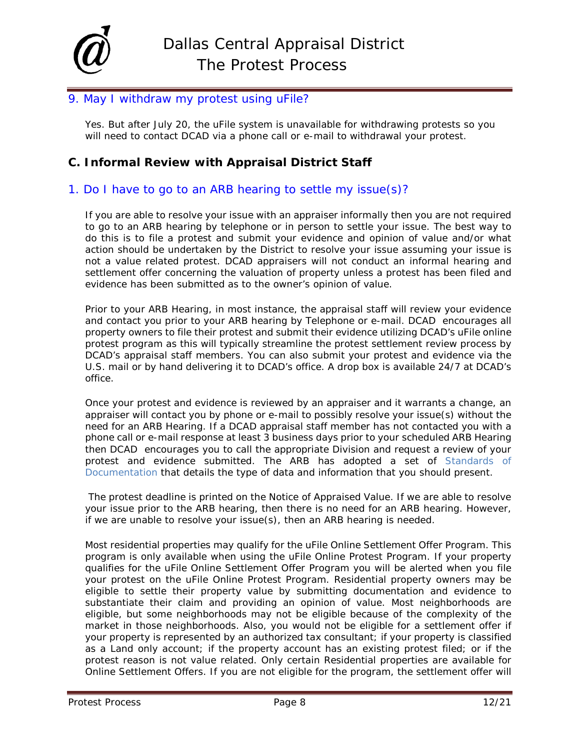

## 9. May I withdraw my protest using uFile?

Yes. But after July 20, the uFile system is unavailable for withdrawing protests so you will need to contact DCAD via a phone call or e-mail to withdrawal your protest.

## **C. Informal Review with Appraisal District Staff**

### 1. Do I have to go to an ARB hearing to settle my issue(s)?

If you are able to resolve your issue with an appraiser informally then you are not required to go to an ARB hearing by telephone or in person to settle your issue. The best way to do this is to file a protest and submit your evidence and opinion of value and/or what action should be undertaken by the District to resolve your issue assuming your issue is not a value related protest. DCAD appraisers will not conduct an informal hearing and settlement offer concerning the valuation of property unless a protest has been filed and evidence has been submitted as to the owner's opinion of value.

Prior to your ARB Hearing, in most instance, the appraisal staff will review your evidence and contact you prior to your ARB hearing by Telephone or e-mail. DCAD encourages all property owners to file their protest and submit their evidence utilizing DCAD's uFile online protest program as this will typically streamline the protest settlement review process by DCAD's appraisal staff members. You can also submit your protest and evidence via the U.S. mail or by hand delivering it to DCAD's office. A drop box is available 24/7 at DCAD's office.

Once your protest and evidence is reviewed by an appraiser and it warrants a change, an appraiser will contact you by phone or e-mail to possibly resolve your issue(s) without the need for an ARB Hearing. If a DCAD appraisal staff member has not contacted you with a phone call or e-mail response at least 3 business days prior to your scheduled ARB Hearing then DCAD encourages you to call the appropriate Division and request a review of your protest and evidence submitted. The ARB has adopted a set of Standards of Documentation that details the type of data and information that you should present.

The protest deadline is printed on the Notice of Appraised Value. If we are able to resolve your issue prior to the ARB hearing, then there is no need for an ARB hearing. However, if we are unable to resolve your issue(s), then an ARB hearing is needed.

Most residential properties may qualify for the uFile Online Settlement Offer Program. This program is only available when using the uFile Online Protest Program. If your property qualifies for the uFile Online Settlement Offer Program you will be alerted when you file your protest on the uFile Online Protest Program. Residential property owners may be eligible to settle their property value by submitting documentation and evidence to substantiate their claim and providing an opinion of value. Most neighborhoods are eligible, but some neighborhoods may not be eligible because of the complexity of the market in those neighborhoods. Also, you would not be eligible for a settlement offer if your property is represented by an authorized tax consultant; if your property is classified as a Land only account; if the property account has an existing protest filed; or if the protest reason is not value related. Only certain Residential properties are available for Online Settlement Offers. If you are not eligible for the program, the settlement offer will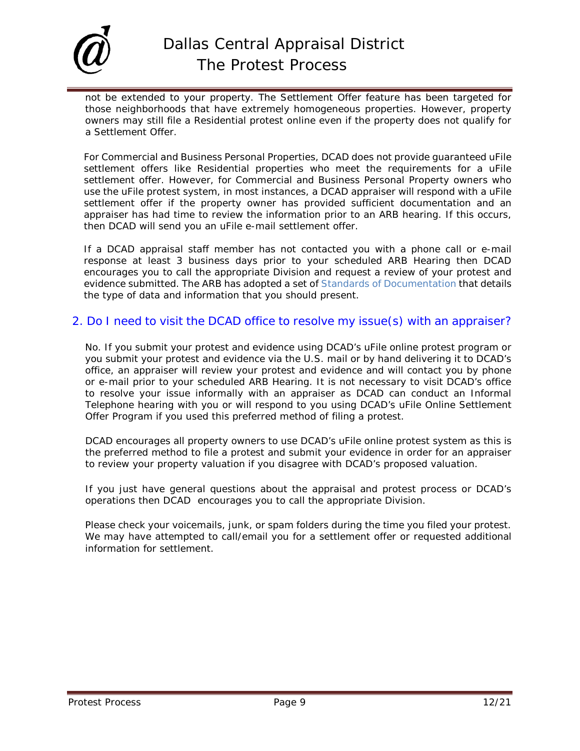

not be extended to your property. The Settlement Offer feature has been targeted for those neighborhoods that have extremely homogeneous properties. However, property owners may still file a Residential protest online even if the property does not qualify for a Settlement Offer.

For Commercial and Business Personal Properties, DCAD does not provide guaranteed uFile settlement offers like Residential properties who meet the requirements for a uFile settlement offer. However, for Commercial and Business Personal Property owners who use the uFile protest system, in most instances, a DCAD appraiser will respond with a uFile settlement offer if the property owner has provided sufficient documentation and an appraiser has had time to review the information prior to an ARB hearing. If this occurs, then DCAD will send you an uFile e-mail settlement offer.

If a DCAD appraisal staff member has not contacted you with a phone call or e-mail response at least 3 business days prior to your scheduled ARB Hearing then DCAD encourages you to call the appropriate Division and request a review of your protest and evidence submitted. The ARB has adopted a set of Standards of Documentation that details the type of data and information that you should present.

### 2. Do I need to visit the DCAD office to resolve my issue(s) with an appraiser?

No. If you submit your protest and evidence using DCAD's uFile online protest program or you submit your protest and evidence via the U.S. mail or by hand delivering it to DCAD's office, an appraiser will review your protest and evidence and will contact you by phone or e-mail prior to your scheduled ARB Hearing. It is not necessary to visit DCAD's office to resolve your issue informally with an appraiser as DCAD can conduct an Informal Telephone hearing with you or will respond to you using DCAD's uFile Online Settlement Offer Program if you used this preferred method of filing a protest.

DCAD encourages all property owners to use DCAD's uFile online protest system as this is the preferred method to file a protest and submit your evidence in order for an appraiser to review your property valuation if you disagree with DCAD's proposed valuation.

If you just have general questions about the appraisal and protest process or DCAD's operations then DCAD encourages you to call the appropriate Division.

Please check your voicemails, junk, or spam folders during the time you filed your protest. We may have attempted to call/email you for a settlement offer or requested additional information for settlement.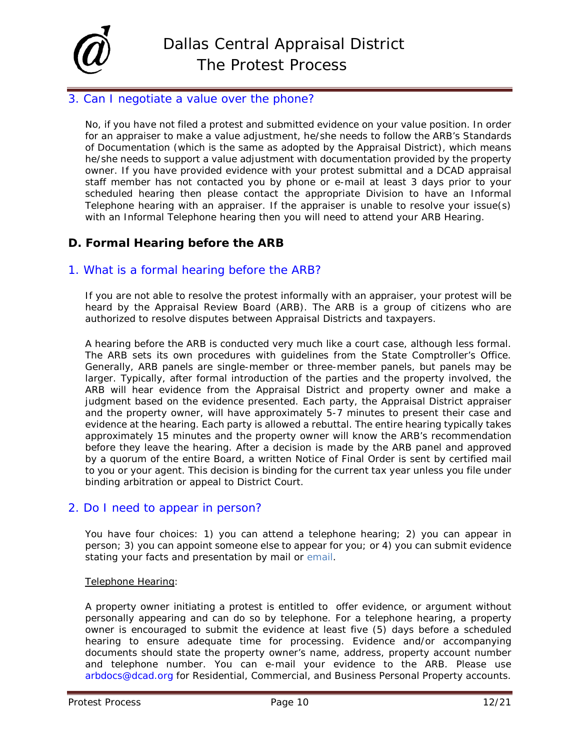

### 3. Can I negotiate a value over the phone?

No, if you have not filed a protest and submitted evidence on your value position. In order for an appraiser to make a value adjustment, he/she needs to follow the ARB's Standards of Documentation (which is the same as adopted by the Appraisal District), which means he/she needs to support a value adjustment with documentation provided by the property owner. If you have provided evidence with your protest submittal and a DCAD appraisal staff member has not contacted you by phone or e-mail at least 3 days prior to your scheduled hearing then please contact the appropriate Division to have an Informal Telephone hearing with an appraiser. If the appraiser is unable to resolve your issue(s) with an Informal Telephone hearing then you will need to attend your ARB Hearing.

### <span id="page-9-0"></span>**D. Formal Hearing before the ARB**

### 1. What is a formal hearing before the ARB?

If you are not able to resolve the protest informally with an appraiser, your protest will be heard by the Appraisal Review Board (ARB). The ARB is a group of citizens who are authorized to resolve disputes between Appraisal Districts and taxpayers.

A hearing before the ARB is conducted very much like a court case, although less formal. The ARB sets its own procedures with guidelines from the State Comptroller's Office. Generally, ARB panels are single-member or three-member panels, but panels may be larger. Typically, after formal introduction of the parties and the property involved, the ARB will hear evidence from the Appraisal District and property owner and make a judgment based on the evidence presented. Each party, the Appraisal District appraiser and the property owner, will have approximately 5-7 minutes to present their case and evidence at the hearing. Each party is allowed a rebuttal. The entire hearing typically takes approximately 15 minutes and the property owner will know the ARB's recommendation before they leave the hearing. After a decision is made by the ARB panel and approved by a quorum of the entire Board, a written Notice of Final Order is sent by certified mail to you or your agent. This decision is binding for the current tax year unless you file under binding arbitration or appeal to District Court.

### 2. Do I need to appear in person?

You have four choices: 1) you can attend a telephone hearing; 2) you can appear in person; 3) you can appoint someone else to appear for you; or 4) you can submit evidence stating your facts and presentation by mail or email.

#### Telephone Hearing:

A property owner initiating a protest is entitled to offer evidence, or argument without personally appearing and can do so by telephone. For a telephone hearing, a property owner is encouraged to submit the evidence at least five (5) days before a scheduled hearing to ensure adequate time for processing. Evidence and/or accompanying documents should state the property owner's name, address, property account number and telephone number. You can e-mail your evidence to the ARB. Please use [arbdocs@dcad.org](mailto:arbdocs@dcad.org) for Residential, Commercial, and Business Personal Property accounts.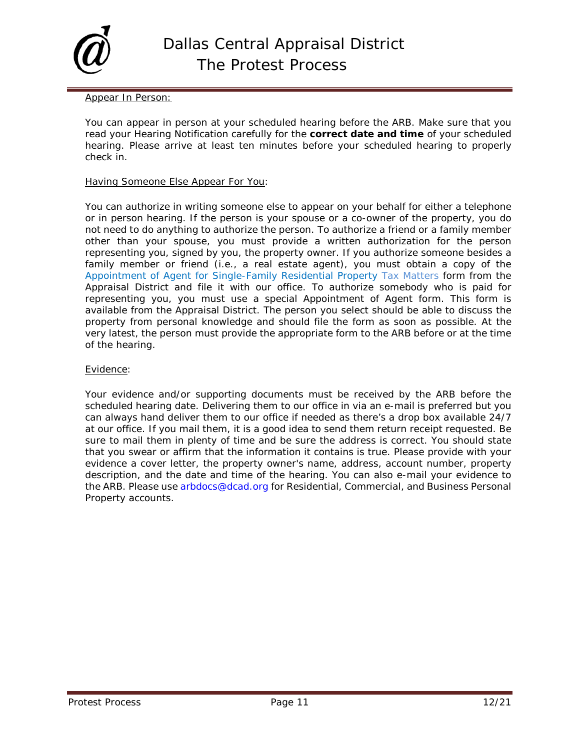

#### Appear In Person:

You can appear in person at your scheduled hearing before the ARB. Make sure that you read your Hearing Notification carefully for the **correct date and time** of your scheduled hearing. Please arrive at least ten minutes before your scheduled hearing to properly check in.

#### Having Someone Else Appear For You:

You can authorize in writing someone else to appear on your behalf for either a telephone or in person hearing. If the person is your spouse or a co-owner of the property, you do not need to do anything to authorize the person. To authorize a friend or a family member other than your spouse, you must provide a written authorization for the person representing you, signed by you, the property owner. If you authorize someone besides a family member or friend (i.e., a real estate agent), you must obtain a copy of the Appointment of Agent for Single-Family Residential Property Tax Matters form from the Appraisal District and file it with our office. To authorize somebody who is paid for representing you, you must use a special Appointment of Agent form. This form is available from the Appraisal District. The person you select should be able to discuss the property from personal knowledge and should file the form as soon as possible. At the very latest, the person must provide the appropriate form to the ARB before or at the time of the hearing.

#### Evidence:

Your evidence and/or supporting documents must be received by the ARB before the scheduled hearing date. Delivering them to our office in via an e-mail is preferred but you can always hand deliver them to our office if needed as there's a drop box available 24/7 at our office. If you mail them, it is a good idea to send them return receipt requested. Be sure to mail them in plenty of time and be sure the address is correct. You should state that you swear or affirm that the information it contains is true. Please provide with your evidence a cover letter, the property owner's name, address, account number, property description, and the date and time of the hearing. You can also e-mail your evidence to the ARB. Please use [arbdocs@dcad.org](mailto:arbdocs@dcad.org) for Residential, Commercial, and Business Personal Property accounts.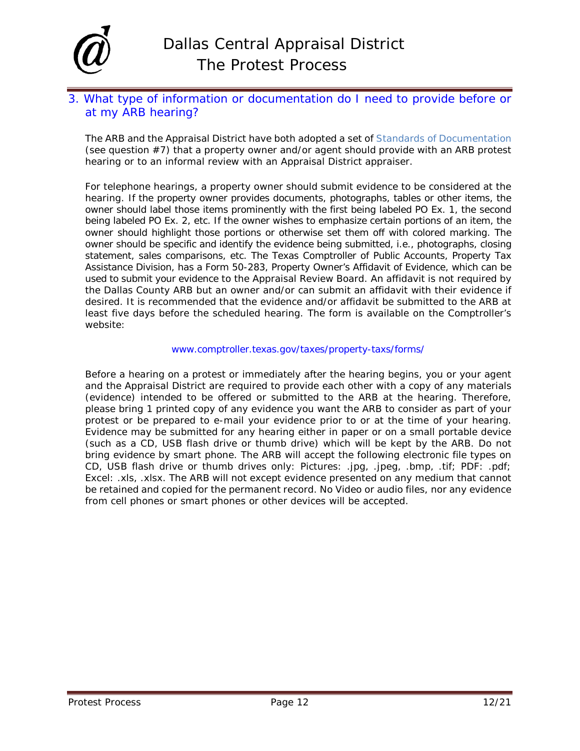

## 3. What type of information or documentation do I need to provide before or at my ARB hearing?

The ARB and the Appraisal District have both adopted a set of Standards of Documentation (see question #7) that a property owner and/or agent should provide with an ARB protest hearing or to an informal review with an Appraisal District appraiser.

For telephone hearings, a property owner should submit evidence to be considered at the hearing. If the property owner provides documents, photographs, tables or other items, the owner should label those items prominently with the first being labeled PO Ex. 1, the second being labeled PO Ex. 2, etc. If the owner wishes to emphasize certain portions of an item, the owner should highlight those portions or otherwise set them off with colored marking. The owner should be specific and identify the evidence being submitted, i.e., photographs, closing statement, sales comparisons, etc. The Texas Comptroller of Public Accounts, Property Tax Assistance Division, has a Form 50-283, Property Owner's Affidavit of Evidence, which can be used to submit your evidence to the Appraisal Review Board. An affidavit is not required by the Dallas County ARB but an owner and/or can submit an affidavit with their evidence if desired. It is recommended that the evidence and/or affidavit be submitted to the ARB at least five days before the scheduled hearing. The form is available on the Comptroller's website:

#### [www.comptroller.texas.gov/taxes/property-taxs/forms/](http://www.comptroller.texas.gov/taxes/property-taxs/forms/)

Before a hearing on a protest or immediately after the hearing begins, you or your agent and the Appraisal District are required to provide each other with a copy of any materials (evidence) intended to be offered or submitted to the ARB at the hearing. Therefore, please bring 1 printed copy of any evidence you want the ARB to consider as part of your protest or be prepared to e-mail your evidence prior to or at the time of your hearing. Evidence may be submitted for any hearing either in paper or on a small portable device (such as a CD, USB flash drive or thumb drive) which will be kept by the ARB. Do not bring evidence by smart phone. The ARB will accept the following electronic file types on CD, USB flash drive or thumb drives only: Pictures: .jpg, .jpeg, .bmp, .tif; PDF: .pdf; Excel: .xls, .xlsx. The ARB will not except evidence presented on any medium that cannot be retained and copied for the permanent record. No Video or audio files, nor any evidence from cell phones or smart phones or other devices will be accepted.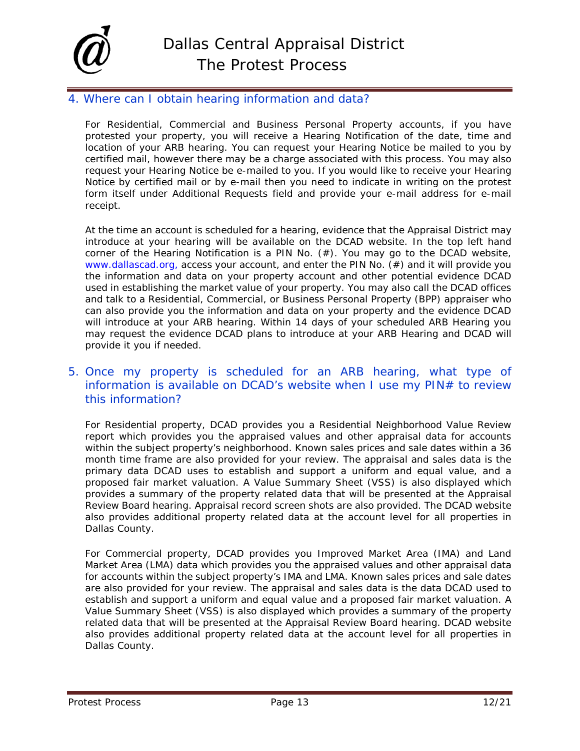

## 4. Where can I obtain hearing information and data?

For Residential, Commercial and Business Personal Property accounts, if you have protested your property, you will receive a Hearing Notification of the date, time and location of your ARB hearing. You can request your Hearing Notice be mailed to you by certified mail, however there may be a charge associated with this process. You may also request your Hearing Notice be e-mailed to you. If you would like to receive your Hearing Notice by certified mail or by e-mail then you need to indicate in writing on the protest form itself under Additional Requests field and provide your e-mail address for e-mail receipt.

At the time an account is scheduled for a hearing, evidence that the Appraisal District may introduce at your hearing will be available on the DCAD website. In the top left hand corner of the Hearing Notification is a PIN No. (#). You may go to the DCAD website, [www.dallascad.org,](http://www.dallascad.org,/) access your account, and enter the PIN No. (#) and it will provide you the information and data on your property account and other potential evidence DCAD used in establishing the market value of your property. You may also call the DCAD offices and talk to a Residential, Commercial, or Business Personal Property (BPP) appraiser who can also provide you the information and data on your property and the evidence DCAD will introduce at your ARB hearing. Within 14 days of your scheduled ARB Hearing you may request the evidence DCAD plans to introduce at your ARB Hearing and DCAD will provide it you if needed.

## 5. Once my property is scheduled for an ARB hearing, what type of information is available on DCAD's website when I use my PIN# to review this information?

For Residential property, DCAD provides you a Residential Neighborhood Value Review report which provides you the appraised values and other appraisal data for accounts within the subject property's neighborhood. Known sales prices and sale dates within a 36 month time frame are also provided for your review. The appraisal and sales data is the primary data DCAD uses to establish and support a uniform and equal value, and a proposed fair market valuation. A Value Summary Sheet (VSS) is also displayed which provides a summary of the property related data that will be presented at the Appraisal Review Board hearing. Appraisal record screen shots are also provided. The DCAD website also provides additional property related data at the account level for all properties in Dallas County.

For Commercial property, DCAD provides you Improved Market Area (IMA) and Land Market Area (LMA) data which provides you the appraised values and other appraisal data for accounts within the subject property's IMA and LMA. Known sales prices and sale dates are also provided for your review. The appraisal and sales data is the data DCAD used to establish and support a uniform and equal value and a proposed fair market valuation. A Value Summary Sheet (VSS) is also displayed which provides a summary of the property related data that will be presented at the Appraisal Review Board hearing. DCAD website also provides additional property related data at the account level for all properties in Dallas County.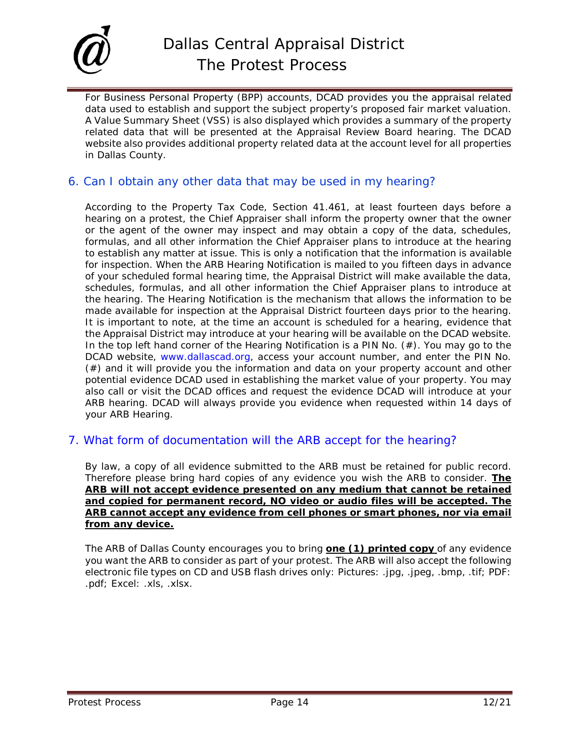

For Business Personal Property (BPP) accounts, DCAD provides you the appraisal related data used to establish and support the subject property's proposed fair market valuation. A Value Summary Sheet (VSS) is also displayed which provides a summary of the property related data that will be presented at the Appraisal Review Board hearing. The DCAD website also provides additional property related data at the account level for all properties in Dallas County.

## 6. Can I obtain any other data that may be used in my hearing?

According to the Property Tax Code, Section 41.461, at least fourteen days before a hearing on a protest, the Chief Appraiser shall inform the property owner that the owner or the agent of the owner may inspect and may obtain a copy of the data, schedules, formulas, and all other information the Chief Appraiser plans to introduce at the hearing to establish any matter at issue. This is only a notification that the information is available for inspection. When the ARB Hearing Notification is mailed to you fifteen days in advance of your scheduled formal hearing time, the Appraisal District will make available the data, schedules, formulas, and all other information the Chief Appraiser plans to introduce at the hearing. The Hearing Notification is the mechanism that allows the information to be made available for inspection at the Appraisal District fourteen days prior to the hearing. It is important to note, at the time an account is scheduled for a hearing, evidence that the Appraisal District may introduce at your hearing will be available on the DCAD website. In the top left hand corner of the Hearing Notification is a PIN No.  $(\#)$ . You may go to the DCAD website, [www.dallascad.org,](http://www.dallascad.org/) access your account number, and enter the PIN No. (#) and it will provide you the information and data on your property account and other potential evidence DCAD used in establishing the market value of your property. You may also call or visit the DCAD offices and request the evidence DCAD will introduce at your ARB hearing. DCAD will always provide you evidence when requested within 14 days of your ARB Hearing.

### 7. What form of documentation will the ARB accept for the hearing?

By law, a copy of all evidence submitted to the ARB must be retained for public record. Therefore please bring hard copies of any evidence you wish the ARB to consider. **The ARB will not accept evidence presented on any medium that cannot be retained and copied for permanent record, NO video or audio files will be accepted. The ARB cannot accept any evidence from cell phones or smart phones, nor via email from any device.**

The ARB of Dallas County encourages you to bring **one (1) printed copy** of any evidence you want the ARB to consider as part of your protest. The ARB will also accept the following electronic file types on CD and USB flash drives only: Pictures: .jpg, .jpeg, .bmp, .tif; PDF: .pdf; Excel: .xls, .xlsx.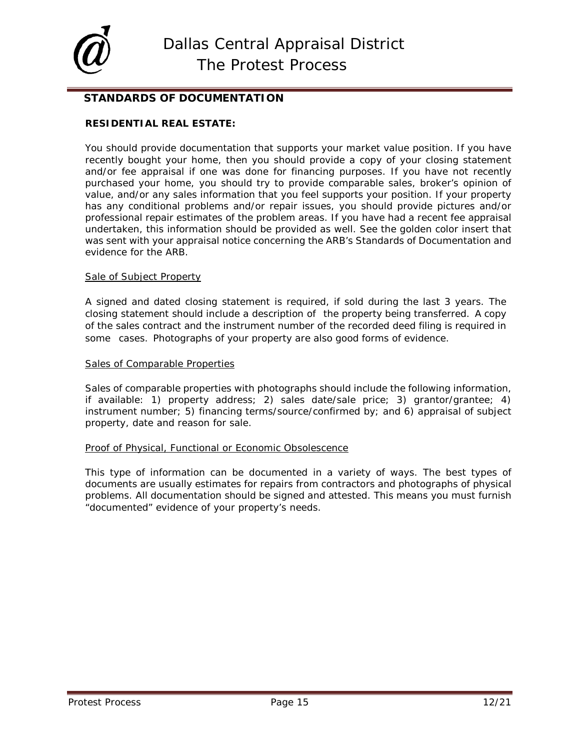

### **STANDARDS OF DOCUMENTATION**

### **RESIDENTIAL REAL ESTATE:**

You should provide documentation that supports your market value position. If you have recently bought your home, then you should provide a copy of your closing statement and/or fee appraisal if one was done for financing purposes. If you have not recently purchased your home, you should try to provide comparable sales, broker's opinion of value, and/or any sales information that you feel supports your position. If your property has any conditional problems and/or repair issues, you should provide pictures and/or professional repair estimates of the problem areas. If you have had a recent fee appraisal undertaken, this information should be provided as well. See the golden color insert that was sent with your appraisal notice concerning the ARB's Standards of Documentation and evidence for the ARB.

#### Sale of Subject Property

A signed and dated closing statement is required, if sold during the last 3 years. The closing statement should include a description of the property being transferred. A copy of the sales contract and the instrument number of the recorded deed filing is required in some cases. Photographs of your property are also good forms of evidence.

#### Sales of Comparable Properties

Sales of comparable properties with photographs should include the following information, if available: 1) property address; 2) sales date/sale price; 3) grantor/grantee; 4) instrument number; 5) financing terms/source/confirmed by; and 6) appraisal of subject property, date and reason for sale.

#### Proof of Physical, Functional or Economic Obsolescence

This type of information can be documented in a variety of ways. The best types of documents are usually estimates for repairs from contractors and photographs of physical problems. All documentation should be signed and attested. This means you must furnish "documented" evidence of your property's needs.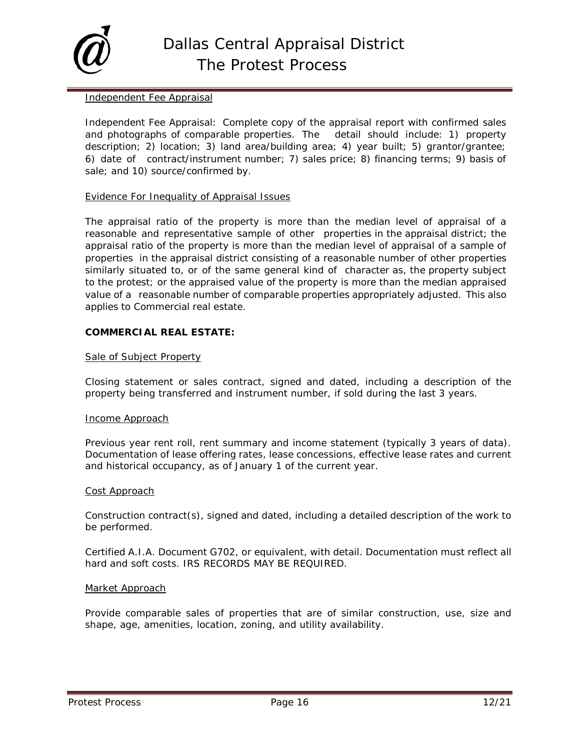

#### Independent Fee Appraisal

Independent Fee Appraisal: Complete copy of the appraisal report with confirmed sales and photographs of comparable properties. The detail should include: 1) property description; 2) location; 3) land area/building area; 4) year built; 5) grantor/grantee; 6) date of contract/instrument number; 7) sales price; 8) financing terms; 9) basis of sale; and 10) source/confirmed by.

#### Evidence For Inequality of Appraisal Issues

The appraisal ratio of the property is more than the median level of appraisal of a reasonable and representative sample of other properties in the appraisal district; the appraisal ratio of the property is more than the median level of appraisal of a sample of properties in the appraisal district consisting of a reasonable number of other properties similarly situated to, or of the same general kind of character as, the property subject to the protest; or the appraised value of the property is more than the median appraised value of a reasonable number of comparable properties appropriately adjusted. This also applies to Commercial real estate.

#### **COMMERCIAL REAL ESTATE:**

#### Sale of Subject Property

Closing statement or sales contract, signed and dated, including a description of the property being transferred and instrument number, if sold during the last 3 years.

#### Income Approach

Previous year rent roll, rent summary and income statement (typically 3 years of data). Documentation of lease offering rates, lease concessions, effective lease rates and current and historical occupancy, as of January 1 of the current year.

#### Cost Approach

Construction contract(s), signed and dated, including a detailed description of the work to be performed.

Certified A.I.A. Document G702, or equivalent, with detail. Documentation must reflect all hard and soft costs. IRS RECORDS MAY BE REQUIRED.

#### Market Approach

Provide comparable sales of properties that are of similar construction, use, size and shape, age, amenities, location, zoning, and utility availability.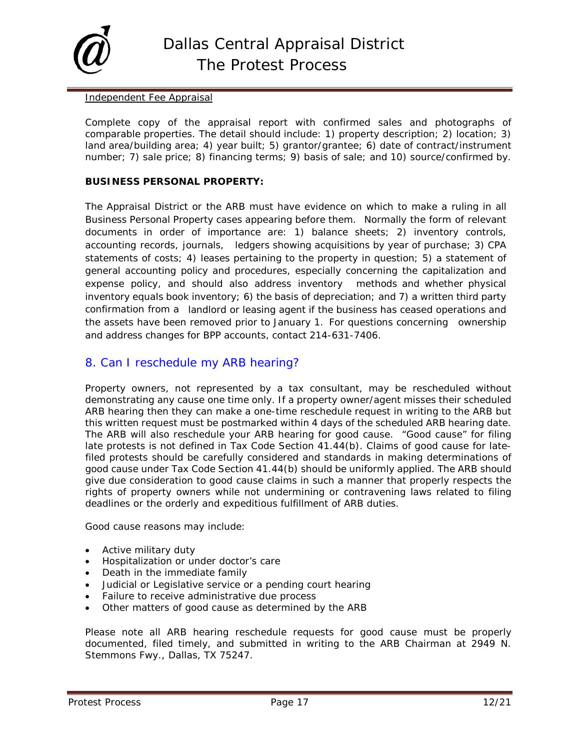

#### Independent Fee Appraisal

Complete copy of the appraisal report with confirmed sales and photographs of comparable properties. The detail should include: 1) property description; 2) location; 3) land area/building area; 4) year built; 5) grantor/grantee; 6) date of contract/instrument number; 7) sale price; 8) financing terms; 9) basis of sale; and 10) source/confirmed by.

#### **BUSINESS PERSONAL PROPERTY:**

The Appraisal District or the ARB must have evidence on which to make a ruling in all Business Personal Property cases appearing before them. Normally the form of relevant documents in order of importance are: 1) balance sheets; 2) inventory controls, accounting records, journals, ledgers showing acquisitions by year of purchase; 3) CPA statements of costs; 4) leases pertaining to the property in question; 5) a statement of general accounting policy and procedures, especially concerning the capitalization and expense policy, and should also address inventory methods and whether physical inventory equals book inventory; 6) the basis of depreciation; and 7) a written third party confirmation from a landlord or leasing agent if the business has ceased operations and the assets have been removed prior to January 1. For questions concerning ownership and address changes for BPP accounts, contact 214-631-7406.

### 8. Can I reschedule my ARB hearing?

Property owners, not represented by a tax consultant, may be rescheduled without demonstrating any cause one time only. If a property owner/agent misses their scheduled ARB hearing then they can make a one-time reschedule request in writing to the ARB but this written request must be postmarked within 4 days of the scheduled ARB hearing date. The ARB will also reschedule your ARB hearing for good cause. "Good cause" for filing late protests is not defined in Tax Code Section 41.44(b). Claims of good cause for latefiled protests should be carefully considered and standards in making determinations of good cause under Tax Code Section 41.44(b) should be uniformly applied. The ARB should give due consideration to good cause claims in such a manner that properly respects the rights of property owners while not undermining or contravening laws related to filing deadlines or the orderly and expeditious fulfillment of ARB duties.

Good cause reasons may include:

- Active military duty
- Hospitalization or under doctor's care
- Death in the immediate family
- Judicial or Legislative service or a pending court hearing
- Failure to receive administrative due process
- Other matters of good cause as determined by the ARB

Please note all ARB hearing reschedule requests for good cause must be properly documented, filed timely, and submitted in writing to the ARB Chairman at 2949 N. Stemmons Fwy., Dallas, TX 75247.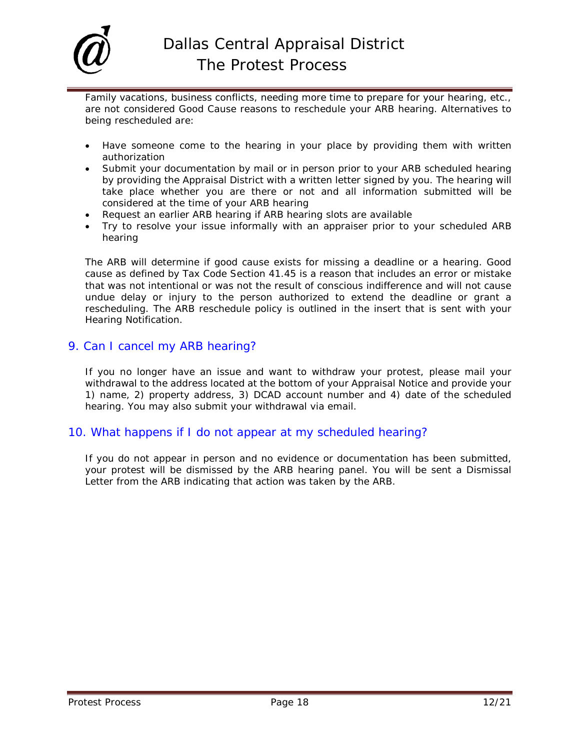

Family vacations, business conflicts, needing more time to prepare for your hearing, etc., are not considered Good Cause reasons to reschedule your ARB hearing. Alternatives to being rescheduled are:

- Have someone come to the hearing in your place by providing them with written authorization
- Submit your documentation by mail or in person prior to your ARB scheduled hearing by providing the Appraisal District with a written letter signed by you. The hearing will take place whether you are there or not and all information submitted will be considered at the time of your ARB hearing
- Request an earlier ARB hearing if ARB hearing slots are available
- Try to resolve your issue informally with an appraiser prior to your scheduled ARB hearing

The ARB will determine if good cause exists for missing a deadline or a hearing. Good cause as defined by Tax Code Section 41.45 is a reason that includes an error or mistake that was not intentional or was not the result of conscious indifference and will not cause undue delay or injury to the person authorized to extend the deadline or grant a rescheduling. The ARB reschedule policy is outlined in the insert that is sent with your Hearing Notification.

### 9. Can I cancel my ARB hearing?

If you no longer have an issue and want to withdraw your protest, please mail your withdrawal to the address located at the bottom of your Appraisal Notice and provide your 1) name, 2) property address, 3) DCAD account number and 4) date of the scheduled hearing. You may also submit your withdrawal via email.

### 10. What happens if I do not appear at my scheduled hearing?

If you do not appear in person and no evidence or documentation has been submitted, your protest will be dismissed by the ARB hearing panel. You will be sent a Dismissal Letter from the ARB indicating that action was taken by the ARB.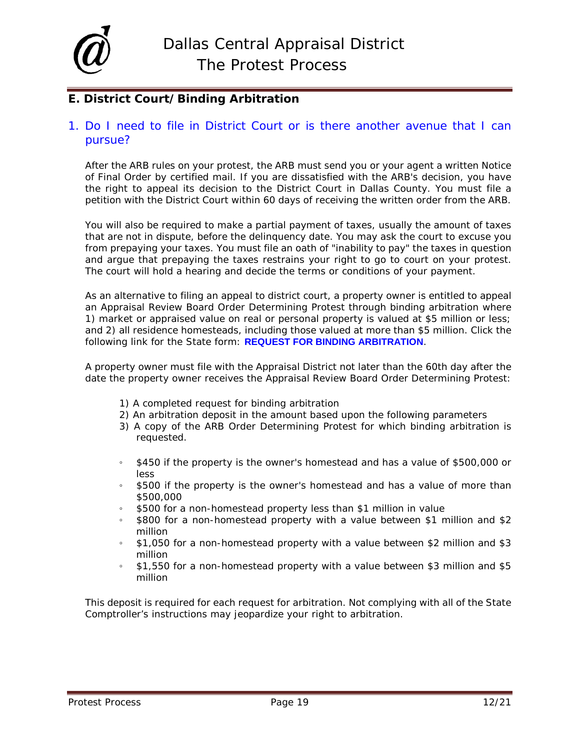

## <span id="page-18-0"></span>**E. District Court/Binding Arbitration**

### 1. Do I need to file in District Court or is there another avenue that I can pursue?

After the ARB rules on your protest, the ARB must send you or your agent a written Notice of Final Order by certified mail. If you are dissatisfied with the ARB's decision, you have the right to appeal its decision to the District Court in Dallas County. You must file a petition with the District Court within 60 days of receiving the written order from the ARB.

You will also be required to make a partial payment of taxes, usually the amount of taxes that are not in dispute, before the delinquency date. You may ask the court to excuse you from prepaying your taxes. You must file an oath of "inability to pay" the taxes in question and argue that prepaying the taxes restrains your right to go to court on your protest. The court will hold a hearing and decide the terms or conditions of your payment.

As an alternative to filing an appeal to district court, a property owner is entitled to appeal an Appraisal Review Board Order Determining Protest through binding arbitration where 1) market or appraised value on real or personal property is valued at \$5 million or less; and 2) all residence homesteads, including those valued at more than \$5 million. Click the following link for the State form: **[REQUEST FOR BINDING ARBITRATION](https://comptroller.texas.gov/forms/ap-219.pdf)**.

A property owner must file with the Appraisal District not later than the 60th day after the date the property owner receives the Appraisal Review Board Order Determining Protest:

- 1) A completed request for binding arbitration
- 2) An arbitration deposit in the amount based upon the following parameters
- 3) A copy of the ARB Order Determining Protest for which binding arbitration is requested.
- \$450 if the property is the owner's homestead and has a value of \$500,000 or less
- \$500 if the property is the owner's homestead and has a value of more than \$500,000
- \$500 for a non-homestead property less than \$1 million in value
- \$800 for a non-homestead property with a value between \$1 million and \$2 million
- \$1,050 for a non-homestead property with a value between \$2 million and \$3 million
- \$1,550 for a non-homestead property with a value between \$3 million and \$5 million

This deposit is required for each request for arbitration. Not complying with all of the State Comptroller's instructions may jeopardize your right to arbitration.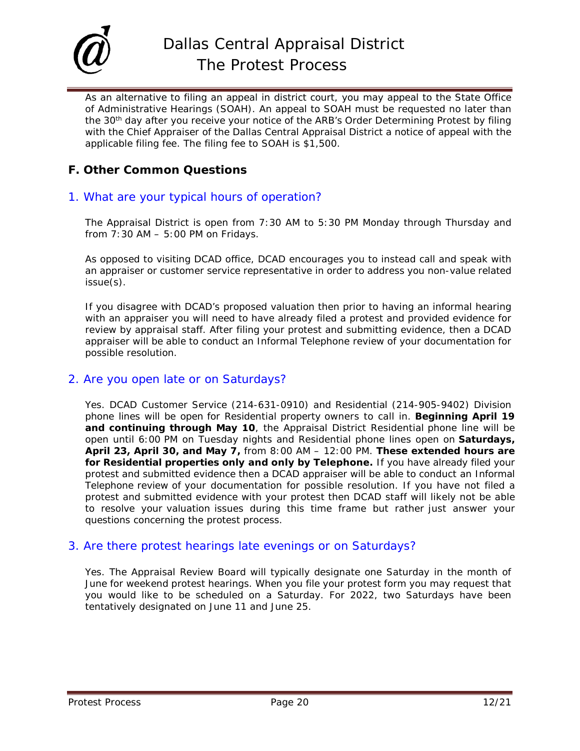

As an alternative to filing an appeal in district court, you may appeal to the State Office of Administrative Hearings (SOAH). An appeal to SOAH must be requested no later than the 30<sup>th</sup> day after you receive your notice of the ARB's Order Determining Protest by filing with the Chief Appraiser of the Dallas Central Appraisal District a notice of appeal with the applicable filing fee. The filing fee to SOAH is \$1,500.

## <span id="page-19-0"></span>**F. Other Common Questions**

### 1. What are your typical hours of operation?

The Appraisal District is open from 7:30 AM to 5:30 PM Monday through Thursday and from  $7:30$  AM  $-5:00$  PM on Fridays.

As opposed to visiting DCAD office, DCAD encourages you to instead call and speak with an appraiser or customer service representative in order to address you non-value related issue(s).

If you disagree with DCAD's proposed valuation then prior to having an informal hearing with an appraiser you will need to have already filed a protest and provided evidence for review by appraisal staff. After filing your protest and submitting evidence, then a DCAD appraiser will be able to conduct an Informal Telephone review of your documentation for possible resolution.

### 2. Are you open late or on Saturdays?

Yes. DCAD Customer Service (214-631-0910) and Residential (214-905-9402) Division phone lines will be open for Residential property owners to call in. **Beginning April 19 and continuing through May 10**, the Appraisal District Residential phone line will be open until 6:00 PM on Tuesday nights and Residential phone lines open on **Saturdays, April 23, April 30, and May 7,** from 8:00 AM – 12:00 PM. **These extended hours are for Residential properties only and only by Telephone.** If you have already filed your protest and submitted evidence then a DCAD appraiser will be able to conduct an Informal Telephone review of your documentation for possible resolution. If you have not filed a protest and submitted evidence with your protest then DCAD staff will likely not be able to resolve your valuation issues during this time frame but rather just answer your questions concerning the protest process.

### 3. Are there protest hearings late evenings or on Saturdays?

Yes. The Appraisal Review Board will typically designate one Saturday in the month of June for weekend protest hearings. When you file your protest form you may request that you would like to be scheduled on a Saturday. For 2022, two Saturdays have been tentatively designated on June 11 and June 25.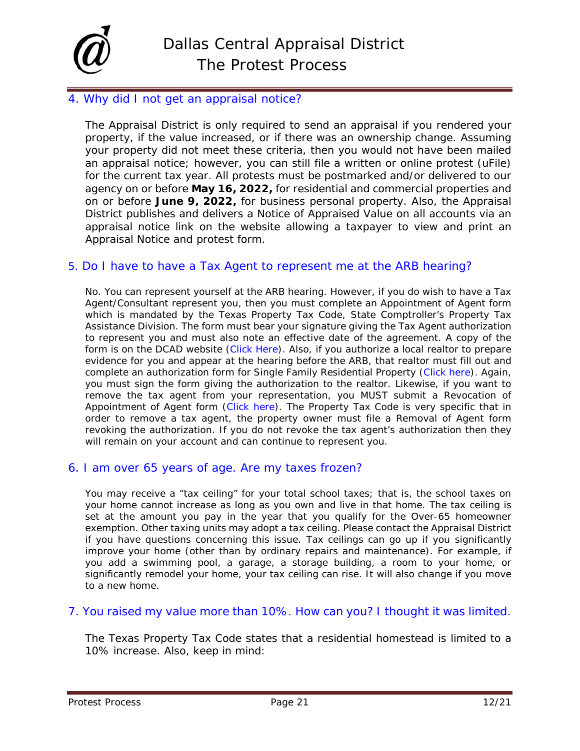

## 4. Why did I not get an appraisal notice?

The Appraisal District is only required to send an appraisal if you rendered your property, if the value increased, or if there was an ownership change. Assuming your property did not meet these criteria, then you would not have been mailed an appraisal notice; however, you can still file a written or online protest (uFile) for the current tax year. All protests must be postmarked and/or delivered to our agency on or before **May 16, 2022,** for residential and commercial properties and on or before **June 9, 2022,** for business personal property. Also, the Appraisal District publishes and delivers a Notice of Appraised Value on all accounts via an appraisal notice link on the website allowing a taxpayer to view and print an Appraisal Notice and protest form.

### 5. Do I have to have a Tax Agent to represent me at the ARB hearing?

No. You can represent yourself at the ARB hearing. However, if you do wish to have a Tax Agent/Consultant represent you, then you must complete an Appointment of Agent form which is mandated by the Texas Property Tax Code, State Comptroller's Property Tax Assistance Division. The form must bear your signature giving the Tax Agent authorization to represent you and must also note an effective date of the agreement. A copy of the form is on the DCAD website [\(Click Here\)](file://DCAD.ORG/WEB/WEBDATA/WEBFORMS/OTHER/50-162_PTAD_AOA.pdf). Also, if you authorize a local realtor to prepare evidence for you and appear at the hearing before the ARB, that realtor must fill out and complete an authorization form for Single Family Residential Property [\(Click here\)](file://DCAD.ORG/WEB/webdata/WEBFORMS/OTHER/50-241_AOA_RES.pdf). Again, you must sign the form giving the authorization to the realtor. Likewise, if you want to remove the tax agent from your representation, you MUST submit a Revocation of Appointment of Agent form [\(Click here\)](file://dcad.org/web/webdata/webforms/OTHER/50-813_Revoke_AOA.pdf). The Property Tax Code is very specific that in order to remove a tax agent, the property owner must file a Removal of Agent form revoking the authorization. If you do not revoke the tax agent's authorization then they will remain on your account and can continue to represent you.

### 6. I am over 65 years of age. Are my taxes frozen?

You may receive a "tax ceiling" for your total school taxes; that is, the school taxes on your home cannot increase as long as you own and live in that home. The tax ceiling is set at the amount you pay in the year that you qualify for the Over-65 homeowner exemption. Other taxing units may adopt a tax ceiling. Please contact the Appraisal District if you have questions concerning this issue. Tax ceilings can go up if you significantly improve your home (other than by ordinary repairs and maintenance). For example, if you add a swimming pool, a garage, a storage building, a room to your home, or significantly remodel your home, your tax ceiling can rise. It will also change if you move to a new home.

### 7. You raised my value more than 10%. How can you? I thought it was limited.

The Texas Property Tax Code states that a residential homestead is limited to a 10% increase. Also, keep in mind: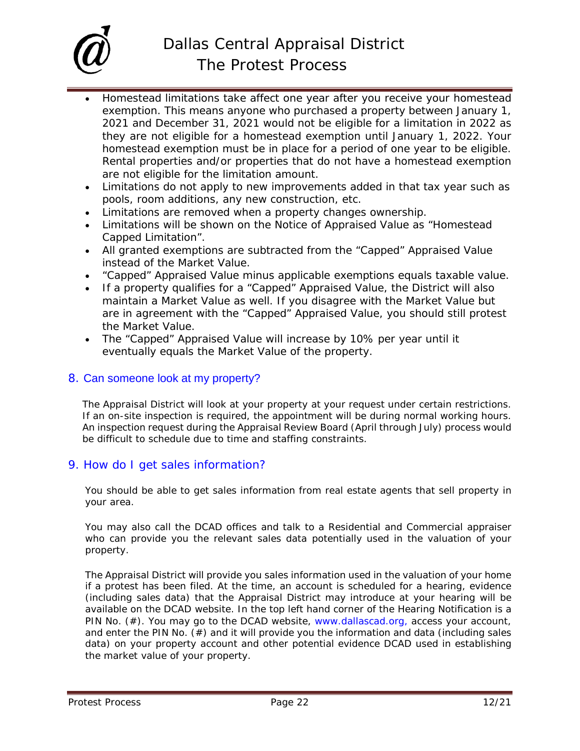

- Homestead limitations take affect one year after you receive your homestead exemption. This means anyone who purchased a property between January 1, 2021 and December 31, 2021 would not be eligible for a limitation in 2022 as they are not eligible for a homestead exemption until January 1, 2022. Your homestead exemption must be in place for a period of one year to be eligible. Rental properties and/or properties that do not have a homestead exemption are not eligible for the limitation amount.
- Limitations do not apply to new improvements added in that tax year such as pools, room additions, any new construction, etc.
- Limitations are removed when a property changes ownership.
- Limitations will be shown on the Notice of Appraised Value as "Homestead Capped Limitation".
- All granted exemptions are subtracted from the "Capped" Appraised Value instead of the Market Value.
- "Capped" Appraised Value minus applicable exemptions equals taxable value.
- If a property qualifies for a "Capped" Appraised Value, the District will also maintain a Market Value as well. If you disagree with the Market Value but are in agreement with the "Capped" Appraised Value, you should still protest the Market Value.
- The "Capped" Appraised Value will increase by 10% per year until it eventually equals the Market Value of the property.

### 8. [Can someone look at my property?](javascript:fnToggleObjDisplay()

The Appraisal District will look at your property at your request under certain restrictions. If an on-site inspection is required, the appointment will be during normal working hours. An inspection request during the Appraisal Review Board (April through July) process would be difficult to schedule due to time and staffing constraints.

### 9. How do I get sales information?

You should be able to get sales information from real estate agents that sell property in your area.

You may also call the DCAD offices and talk to a Residential and Commercial appraiser who can provide you the relevant sales data potentially used in the valuation of your property.

The Appraisal District will provide you sales information used in the valuation of your home if a protest has been filed. At the time, an account is scheduled for a hearing, evidence (including sales data) that the Appraisal District may introduce at your hearing will be available on the DCAD website. In the top left hand corner of the Hearing Notification is a PIN No. (#). You may go to the DCAD website, [www.dallascad.org,](http://www.dallascad.org,/) access your account, and enter the PIN No.  $(\#)$  and it will provide you the information and data (including sales data) on your property account and other potential evidence DCAD used in establishing the market value of your property.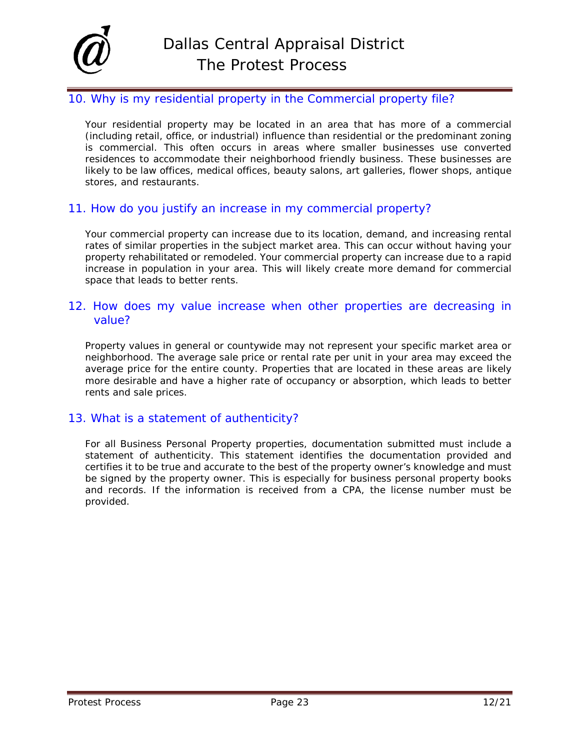

### 10. Why is my residential property in the Commercial property file?

Your residential property may be located in an area that has more of a commercial (including retail, office, or industrial) influence than residential or the predominant zoning is commercial. This often occurs in areas where smaller businesses use converted residences to accommodate their neighborhood friendly business. These businesses are likely to be law offices, medical offices, beauty salons, art galleries, flower shops, antique stores, and restaurants.

### 11. How do you justify an increase in my commercial property?

Your commercial property can increase due to its location, demand, and increasing rental rates of similar properties in the subject market area. This can occur without having your property rehabilitated or remodeled. Your commercial property can increase due to a rapid increase in population in your area. This will likely create more demand for commercial space that leads to better rents.

### 12. How does my value increase when other properties are decreasing in value?

Property values in general or countywide may not represent your specific market area or neighborhood. The average sale price or rental rate per unit in your area may exceed the average price for the entire county. Properties that are located in these areas are likely more desirable and have a higher rate of occupancy or absorption, which leads to better rents and sale prices.

### 13. What is a statement of authenticity?

For all Business Personal Property properties, documentation submitted must include a statement of authenticity. This statement identifies the documentation provided and certifies it to be true and accurate to the best of the property owner's knowledge and must be signed by the property owner. This is especially for business personal property books and records. If the information is received from a CPA, the license number must be provided.